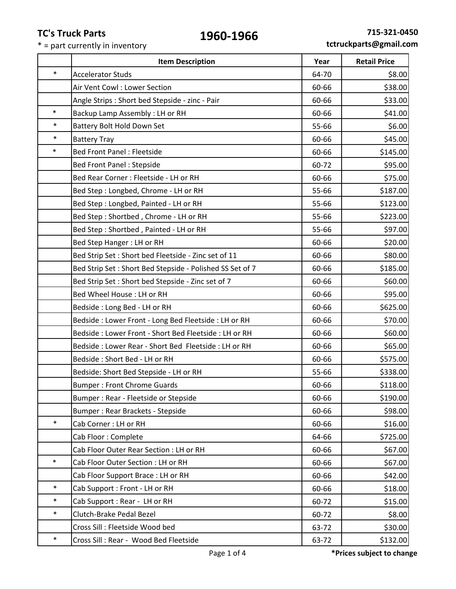\* = part currently in inventory

|        | <b>Item Description</b>                                  | Year  | <b>Retail Price</b> |
|--------|----------------------------------------------------------|-------|---------------------|
| $\ast$ | <b>Accelerator Studs</b>                                 | 64-70 | \$8.00              |
|        | Air Vent Cowl: Lower Section                             | 60-66 | \$38.00             |
|        | Angle Strips: Short bed Stepside - zinc - Pair           | 60-66 | \$33.00             |
| $\ast$ | Backup Lamp Assembly : LH or RH                          | 60-66 | \$41.00             |
| $\ast$ | Battery Bolt Hold Down Set                               | 55-66 | \$6.00              |
| $\ast$ | <b>Battery Tray</b>                                      | 60-66 | \$45.00             |
| $\ast$ | <b>Bed Front Panel: Fleetside</b>                        | 60-66 | \$145.00            |
|        | <b>Bed Front Panel: Stepside</b>                         | 60-72 | \$95.00             |
|        | Bed Rear Corner : Fleetside - LH or RH                   | 60-66 | \$75.00             |
|        | Bed Step: Longbed, Chrome - LH or RH                     | 55-66 | \$187.00            |
|        | Bed Step: Longbed, Painted - LH or RH                    | 55-66 | \$123.00            |
|        | Bed Step: Shortbed, Chrome - LH or RH                    | 55-66 | \$223.00            |
|        | Bed Step: Shortbed, Painted - LH or RH                   | 55-66 | \$97.00             |
|        | Bed Step Hanger: LH or RH                                | 60-66 | \$20.00             |
|        | Bed Strip Set: Short bed Fleetside - Zinc set of 11      | 60-66 | \$80.00             |
|        | Bed Strip Set: Short Bed Stepside - Polished SS Set of 7 | 60-66 | \$185.00            |
|        | Bed Strip Set: Short bed Stepside - Zinc set of 7        | 60-66 | \$60.00             |
|        | Bed Wheel House : LH or RH                               | 60-66 | \$95.00             |
|        | Bedside: Long Bed - LH or RH                             | 60-66 | \$625.00            |
|        | Bedside: Lower Front - Long Bed Fleetside: LH or RH      | 60-66 | \$70.00             |
|        | Bedside: Lower Front - Short Bed Fleetside: LH or RH     | 60-66 | \$60.00             |
|        | Bedside: Lower Rear - Short Bed Fleetside: LH or RH      | 60-66 | \$65.00             |
|        | Bedside: Short Bed - LH or RH                            | 60-66 | \$575.00            |
|        | Bedside: Short Bed Stepside - LH or RH                   | 55-66 | \$338.00            |
|        | <b>Bumper: Front Chrome Guards</b>                       | 60-66 | \$118.00            |
|        | Bumper: Rear - Fleetside or Stepside                     | 60-66 | \$190.00            |
|        | Bumper: Rear Brackets - Stepside                         | 60-66 | \$98.00             |
| $\ast$ | Cab Corner: LH or RH                                     | 60-66 | \$16.00             |
|        | Cab Floor: Complete                                      | 64-66 | \$725.00            |
|        | Cab Floor Outer Rear Section : LH or RH                  | 60-66 | \$67.00             |
| $\ast$ | Cab Floor Outer Section : LH or RH                       | 60-66 | \$67.00             |
|        | Cab Floor Support Brace: LH or RH                        | 60-66 | \$42.00             |
| $\ast$ | Cab Support: Front - LH or RH                            | 60-66 | \$18.00             |
| $\ast$ | Cab Support: Rear - LH or RH                             | 60-72 | \$15.00             |
| $\ast$ | Clutch-Brake Pedal Bezel                                 | 60-72 | \$8.00              |
|        | Cross Sill: Fleetside Wood bed                           | 63-72 | \$30.00             |
| $\ast$ | Cross Sill: Rear - Wood Bed Fleetside                    | 63-72 | \$132.00            |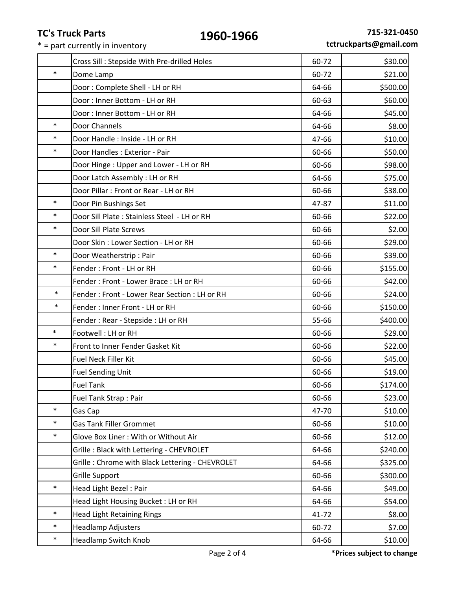$* =$  part currently in inventory

|        | Cross Sill: Stepside With Pre-drilled Holes     | 60-72 | \$30.00  |
|--------|-------------------------------------------------|-------|----------|
| $\ast$ | Dome Lamp                                       | 60-72 | \$21.00  |
|        | Door: Complete Shell - LH or RH                 | 64-66 | \$500.00 |
|        | Door: Inner Bottom - LH or RH                   | 60-63 | \$60.00  |
|        | Door: Inner Bottom - LH or RH                   | 64-66 | \$45.00  |
| $\ast$ | Door Channels                                   | 64-66 | \$8.00   |
| $\ast$ | Door Handle: Inside - LH or RH                  | 47-66 | \$10.00  |
| $\ast$ | Door Handles : Exterior - Pair                  | 60-66 | \$50.00  |
|        | Door Hinge: Upper and Lower - LH or RH          | 60-66 | \$98.00  |
|        | Door Latch Assembly : LH or RH                  | 64-66 | \$75.00  |
|        | Door Pillar: Front or Rear - LH or RH           | 60-66 | \$38.00  |
| $\ast$ | Door Pin Bushings Set                           | 47-87 | \$11.00  |
| $\ast$ | Door Sill Plate: Stainless Steel - LH or RH     | 60-66 | \$22.00  |
| $\ast$ | Door Sill Plate Screws                          | 60-66 | \$2.00   |
|        | Door Skin: Lower Section - LH or RH             | 60-66 | \$29.00  |
| $\ast$ | Door Weatherstrip: Pair                         | 60-66 | \$39.00  |
| $\ast$ | Fender: Front - LH or RH                        | 60-66 | \$155.00 |
|        | Fender: Front - Lower Brace: LH or RH           | 60-66 | \$42.00  |
| $\ast$ | Fender: Front - Lower Rear Section: LH or RH    | 60-66 | \$24.00  |
| $\ast$ | Fender: Inner Front - LH or RH                  | 60-66 | \$150.00 |
|        | Fender: Rear - Stepside: LH or RH               | 55-66 | \$400.00 |
| $\ast$ | Footwell: LH or RH                              | 60-66 | \$29.00  |
| $\ast$ | Front to Inner Fender Gasket Kit                | 60-66 | \$22.00  |
|        | <b>Fuel Neck Filler Kit</b>                     | 60-66 | \$45.00  |
|        | <b>Fuel Sending Unit</b>                        | 60-66 | \$19.00  |
|        | Fuel Tank                                       | 60-66 | \$174.00 |
|        | Fuel Tank Strap: Pair                           | 60-66 | \$23.00  |
| $\ast$ | Gas Cap                                         | 47-70 | \$10.00  |
| $\ast$ | <b>Gas Tank Filler Grommet</b>                  | 60-66 | \$10.00  |
| $\ast$ | Glove Box Liner: With or Without Air            | 60-66 | \$12.00  |
|        | Grille: Black with Lettering - CHEVROLET        | 64-66 | \$240.00 |
|        | Grille: Chrome with Black Lettering - CHEVROLET | 64-66 | \$325.00 |
|        | Grille Support                                  | 60-66 | \$300.00 |
| $\ast$ | Head Light Bezel: Pair                          | 64-66 | \$49.00  |
|        | Head Light Housing Bucket: LH or RH             | 64-66 | \$54.00  |
| $\ast$ |                                                 | 41-72 | \$8.00   |
|        | <b>Head Light Retaining Rings</b>               |       |          |
| $\ast$ | <b>Headlamp Adjusters</b>                       | 60-72 | \$7.00   |
|        |                                                 |       |          |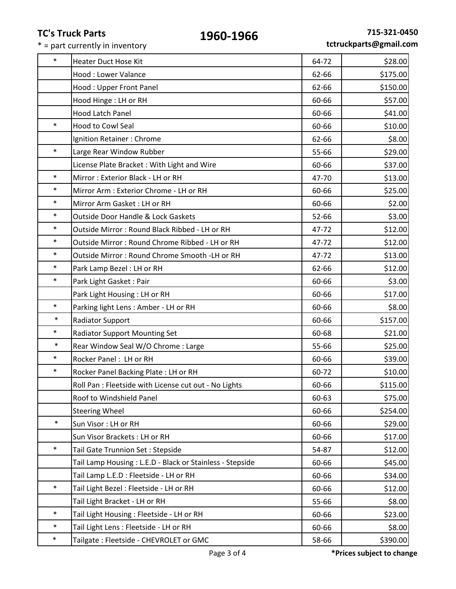|        | TC S Truck Parts<br>1960-1966<br>* = part currently in inventory |       | ,13-321-043<br>tctruckparts@gmail.cor |
|--------|------------------------------------------------------------------|-------|---------------------------------------|
| $\ast$ | <b>Heater Duct Hose Kit</b>                                      | 64-72 | \$28.00                               |
|        | <b>Hood: Lower Valance</b>                                       | 62-66 | \$175.00                              |
|        | Hood: Upper Front Panel                                          | 62-66 | \$150.00                              |
|        | Hood Hinge : LH or RH                                            | 60-66 | \$57.00                               |
|        | <b>Hood Latch Panel</b>                                          | 60-66 | \$41.00                               |
| $\ast$ | <b>Hood to Cowl Seal</b>                                         | 60-66 | \$10.00                               |
|        | Ignition Retainer: Chrome                                        | 62-66 | \$8.00                                |
| $\ast$ | Large Rear Window Rubber                                         | 55-66 | \$29.00                               |
|        | License Plate Bracket: With Light and Wire                       | 60-66 | \$37.00                               |
| $\ast$ | Mirror: Exterior Black - LH or RH                                | 47-70 | \$13.00                               |
| $\ast$ | Mirror Arm : Exterior Chrome - LH or RH                          | 60-66 | \$25.00                               |
| $\ast$ | Mirror Arm Gasket: LH or RH                                      | 60-66 | \$2.00                                |
| $\ast$ | Outside Door Handle & Lock Gaskets                               | 52-66 | \$3.00                                |
| $\ast$ | Outside Mirror: Round Black Ribbed - LH or RH                    | 47-72 | \$12.00                               |
| $\ast$ | Outside Mirror: Round Chrome Ribbed - LH or RH                   | 47-72 | \$12.00                               |
| $\ast$ | Outside Mirror: Round Chrome Smooth -LH or RH                    | 47-72 | \$13.00                               |
| $\ast$ | Park Lamp Bezel: LH or RH                                        | 62-66 | \$12.00                               |
| $\ast$ | Park Light Gasket: Pair                                          | 60-66 | \$3.00                                |
|        | Park Light Housing : LH or RH                                    | 60-66 | \$17.00                               |
| $\ast$ | Parking light Lens : Amber - LH or RH                            | 60-66 | \$8.00                                |
| $\ast$ | <b>Radiator Support</b>                                          | 60-66 | \$157.00                              |
| $\ast$ | <b>Radiator Support Mounting Set</b>                             | 60-68 | \$21.00                               |
| $\ast$ | Rear Window Seal W/O Chrome : Large                              | 55-66 | \$25.00                               |
| $\ast$ | Rocker Panel: LH or RH                                           | 60-66 | \$39.00                               |
| $\ast$ | Rocker Panel Backing Plate: LH or RH                             | 60-72 | \$10.00                               |
|        | Roll Pan : Fleetside with License cut out - No Lights            | 60-66 | \$115.00                              |
|        | Roof to Windshield Panel                                         | 60-63 | \$75.00                               |
|        | <b>Steering Wheel</b>                                            | 60-66 | \$254.00                              |
| $\ast$ | Sun Visor: LH or RH                                              | 60-66 | \$29.00                               |
|        | Sun Visor Brackets: LH or RH                                     | 60-66 | \$17.00                               |
| $\ast$ | Tail Gate Trunnion Set: Stepside                                 | 54-87 | \$12.00                               |
|        | Tail Lamp Housing: L.E.D - Black or Stainless - Stepside         | 60-66 | \$45.00                               |
|        | Tail Lamp L.E.D : Fleetside - LH or RH                           | 60-66 | \$34.00                               |
| $\ast$ | Tail Light Bezel: Fleetside - LH or RH                           | 60-66 | \$12.00                               |
|        | Tail Light Bracket - LH or RH                                    | 55-66 | \$8.00                                |
| $\ast$ | Tail Light Housing: Fleetside - LH or RH                         | 60-66 | \$23.00                               |
| $\ast$ | Tail Light Lens : Fleetside - LH or RH                           | 60-66 | \$8.00                                |